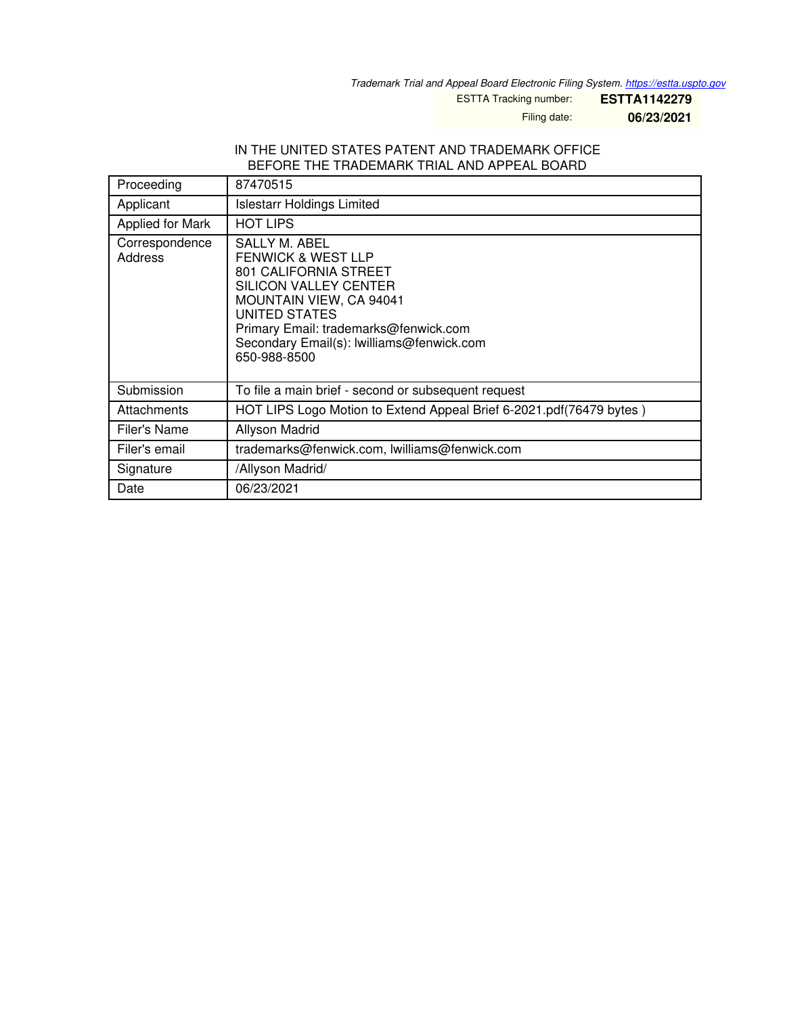*Trademark Trial and Appeal Board Electronic Filing System. <https://estta.uspto.gov>*

ESTTA Tracking number: **ESTTA1142279**

Filing date: **06/23/2021**

### IN THE UNITED STATES PATENT AND TRADEMARK OFFICE BEFORE THE TRADEMARK TRIAL AND APPEAL BOARD

| Proceeding                | 87470515                                                                                                                                                                                                                                                                |
|---------------------------|-------------------------------------------------------------------------------------------------------------------------------------------------------------------------------------------------------------------------------------------------------------------------|
| Applicant                 | <b>Islestarr Holdings Limited</b>                                                                                                                                                                                                                                       |
| Applied for Mark          | <b>HOT LIPS</b>                                                                                                                                                                                                                                                         |
| Correspondence<br>Address | <b>SALLY M. ABEL</b><br><b>FENWICK &amp; WEST LLP</b><br>801 CALIFORNIA STREET<br>SILICON VALLEY CENTER<br><b>MOUNTAIN VIEW, CA 94041</b><br><b>UNITED STATES</b><br>Primary Email: trademarks@fenwick.com<br>Secondary Email(s): lwilliams@fenwick.com<br>650-988-8500 |
| Submission                | To file a main brief - second or subsequent request                                                                                                                                                                                                                     |
| Attachments               | HOT LIPS Logo Motion to Extend Appeal Brief 6-2021.pdf(76479 bytes)                                                                                                                                                                                                     |
| Filer's Name              | Allyson Madrid                                                                                                                                                                                                                                                          |
| Filer's email             | trademarks@fenwick.com, lwilliams@fenwick.com                                                                                                                                                                                                                           |
| Signature                 | /Allyson Madrid/                                                                                                                                                                                                                                                        |
| Date                      | 06/23/2021                                                                                                                                                                                                                                                              |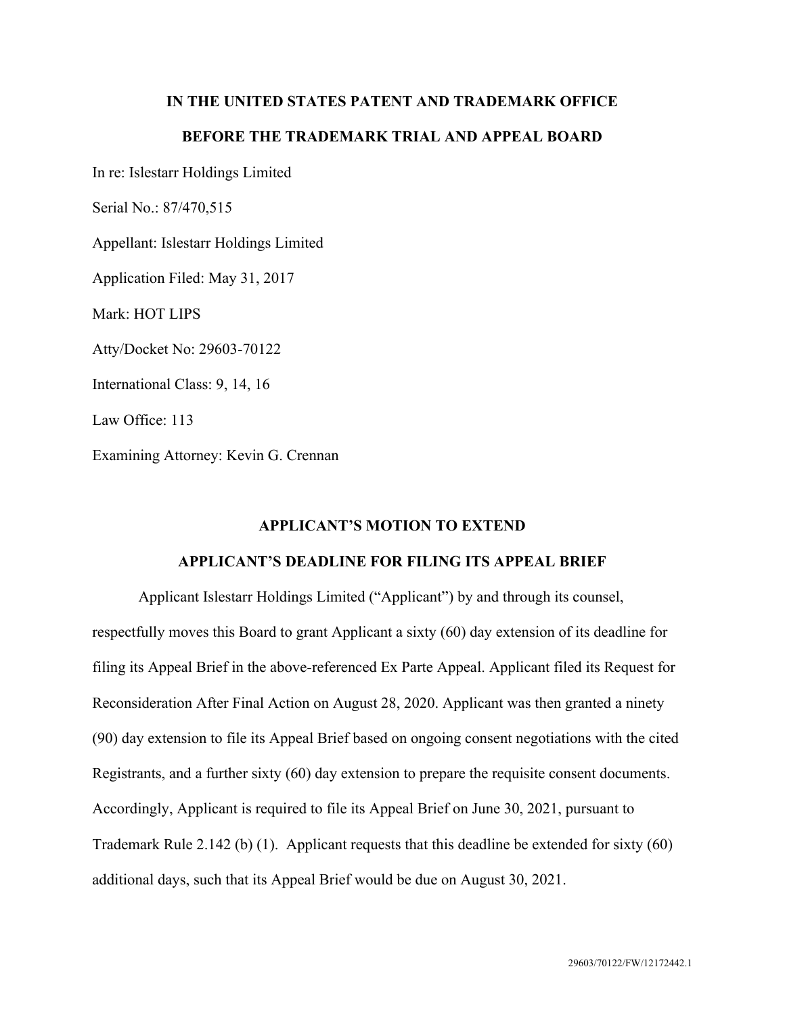## **IN THE UNITED STATES PATENT AND TRADEMARK OFFICE**

# **BEFORE THE TRADEMARK TRIAL AND APPEAL BOARD**

In re: Islestarr Holdings Limited

Serial No.: 87/470,515

Appellant: Islestarr Holdings Limited

Application Filed: May 31, 2017

Mark: HOT LIPS

Atty/Docket No: 29603-70122

International Class: 9, 14, 16

Law Office: 113

Examining Attorney: Kevin G. Crennan

## **APPLICANT'S MOTION TO EXTEND**

### **APPLICANT'S DEADLINE FOR FILING ITS APPEAL BRIEF**

Applicant Islestarr Holdings Limited ("Applicant") by and through its counsel, respectfully moves this Board to grant Applicant a sixty (60) day extension of its deadline for filing its Appeal Brief in the above-referenced Ex Parte Appeal. Applicant filed its Request for Reconsideration After Final Action on August 28, 2020. Applicant was then granted a ninety (90) day extension to file its Appeal Brief based on ongoing consent negotiations with the cited Registrants, and a further sixty (60) day extension to prepare the requisite consent documents. Accordingly, Applicant is required to file its Appeal Brief on June 30, 2021, pursuant to Trademark Rule 2.142 (b) (1). Applicant requests that this deadline be extended for sixty (60) additional days, such that its Appeal Brief would be due on August 30, 2021.